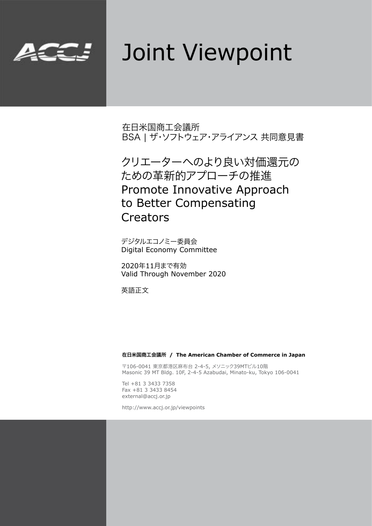

# Joint Viewpoint

在日米国商工会議所 BSA | ザ・ソフトウェア・アライアンス 共同意見書

クリエーターへのより良い対価還元の ための革新的アプローチの推進 Promote Innovative Approach to Better Compensating Creators

デジタルエコノミー委員会 Digital Economy Committee

2020年11月まで有効 Valid Through November 2020

英語正文

#### 在日米国商工会議所 **/ The American Chamber of Commerce in Japan**

〒106-0041 東京都港区麻布台 2-4-5, メソニック39MTビル10階 Masonic 39 MT Bldg. 10F, 2-4-5 Azabudai, Minato-ku, Tokyo 106-0041

Tel +81 3 3433 7358 Fax +81 3 3433 8454 external@accj.or.jp

http://www.accj.or.jp/viewpoints

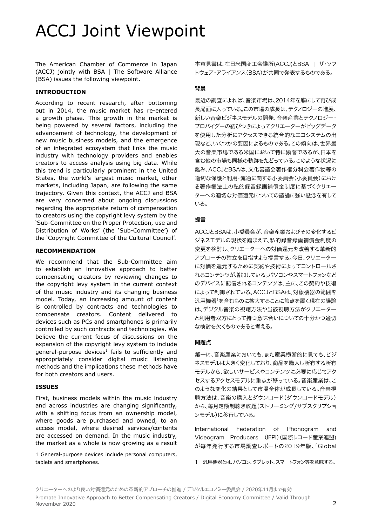## ACCJ Joint Viewpoint

The American Chamber of Commerce in Japan (ACCJ) jointly with BSA | The Software Alliance (BSA) issues the following viewpoint.

#### **INTRODUCTION**

According to recent research, after bottoming out in 2014, the music market has re-entered a growth phase. This growth in the market is being powered by several factors, including the advancement of technology, the development of new music business models, and the emergence of an integrated ecosystem that links the music industry with technology providers and enables creators to access analysis using big data. While this trend is particularly prominent in the United States, the world's largest music market, other markets, including Japan, are following the same trajectory. Given this context, the ACCJ and BSA are very concerned about ongoing discussions regarding the appropriate return of compensation to creators using the copyright levy system by the 'Sub-Committee on the Proper Protection, use and Distribution of Works' (the 'Sub-Committee') of the 'Copyright Committee of the Cultural Council'.

#### **RECOMMENDATION**

We recommend that the Sub-Committee aim to establish an innovative approach to better compensating creators by reviewing changes to the copyright levy system in the current context of the music industry and its changing business model. Today, an increasing amount of content is controlled by contracts and technologies to compensate creators. Content delivered to devices such as PCs and smartphones is primarily controlled by such contracts and technologies. We believe the current focus of discussions on the expansion of the copyright levy system to include general-purpose devices<sup>1</sup> fails to sufficiently and appropriately consider digital music listening methods and the implications these methods have for both creators and users.

#### **ISSUES**

First, business models within the music industry and across industries are changing significantly, with a shifting focus from an ownership model, where goods are purchased and owned, to an access model, where desired services/contents are accessed on demand. In the music industry, the market as a whole is now growing as a result

1 General-purpose devices include personal computers, tablets and smartphones.

本意見書は、在日米国商工会議所(ACCJ)とBSA | ザ・ソフ トウェア・アライアンス(BSA)が共同で発表するものである。

### 背景

最近の調査によれば、音楽市場は、2014年を底にして再び成 長局面に入っている。この市場の成長は、テクノロジーの進展、 新しい音楽ビジネスモデルの開発、音楽産業とテクノロジー・ プロバイダーの結びつきによってクリエーターがビッグデータ を使用した分析にアクセスできる統合的なエコシステムの出 現など、いくつかの要因によるものである。この傾向は、世界最 大の音楽市場である米国において特に顕著であるが、日本を 含む他の市場も同様の軌跡をたどっている。このような状況に 鑑み、ACCJとBSAは、文化審議会著作権分科会著作物等の 適切な保護と利用・流通に関する小委員会(小委員会)におけ る著作権法上の私的録音録画補償金制度に基づくクリエー ターへの適切な対価還元についての議論に強い懸念を有して いる。

### 提言

ACCJとBSAは、小委員会が、音楽産業およびその変化するビ ジネスモデルの現状を踏まえて、私的録音録画補償金制度の 変更を検討し、クリエーターへの対価還元を改善する革新的 アプローチの確立を目指すよう提言する。今日、クリエーター に対価を還元するために契約や技術によってコントロールさ れるコンテンツが増加している。パソコンやスマートフォンなど のデバイスに配信されるコンテンツは、主に、この契約や技術 によって制御されている。ACCJとBSAは、対象機器の範囲を 汎用機器1を含むものに拡大することに焦点を置く現在の議論 は、デジタル音楽の視聴方法や当該視聴方法がクリエーター と利用者双方にとって持つ意味合いについての十分かつ適切 な検討を欠くものであると考える。

#### 問題点

第一に、音楽産業においても、また産業横断的に見ても、ビジ ネスモデルは大きく変化しており、商品を購入し所有する所有 モデルから、欲しいサービスやコンテンツに必要に応じてアク セスするアクセスモデルに重点が移っている。音楽産業は、こ のような変化の結果として市場全体が成長している。音楽視 聴方法は、音楽の購入とダウンロード(ダウンロードモデル) から、毎月定額制聴き放題(ストリーミング/サブスクリプショ ンモデル)に移行している。

International Federation of Phonogram and Videogram Producers (IFPI)(国際レコード産業連盟) が毎年発行する市場調査レポートの2019年版、「Global

<sup>1</sup> 汎用機器とは、パソコン、タブレット、スマートフォン等を意味する。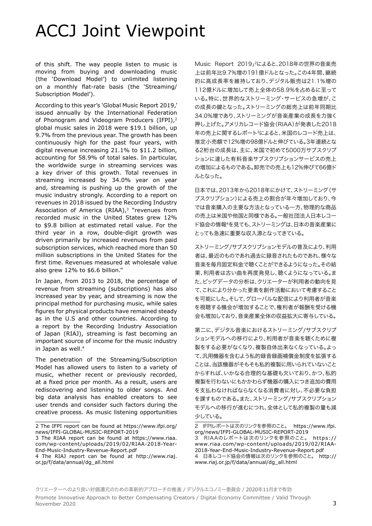## ACCJ Joint Viewpoint

of this shift. The way people listen to music is moving from buying and downloading music (the 'Download Model') to unlimited listening on a monthly flat-rate basis (the 'Streaming/ Subscription Model').

According to this year's 'Global Music Report 2019,' issued annually by the International Federation of Phonogram and Videogram Producers (IFPI),<sup>2</sup> global music sales in 2018 were \$19.1 billion, up 9.7% from the previous year. The growth has been continuously high for the past four years, with digital revenue increasing 21.1% to \$11.2 billion, accounting for 58.9% of total sales. In particular, the worldwide surge in streaming services was a key driver of this growth. Total revenues in streaming increased by 34.0% year on year and, streaming is pushing up the growth of the music industry strongly. According to a report on revenues in 2018 issued by the Recording Industry Association of America  $(RIAA)_3$  "revenues from recorded music in the United States grew 12% to \$9.8 billion at estimated retail value. For the third year in a row, double-digit growth was driven primarily by increased revenues from paid subscription services, which reached more than 50 million subscriptions in the United States for the first time. Revenues measured at wholesale value also grew 12% to \$6.6 billion."

In Japan, from 2013 to 2018, the percentage of revenue from streaming (subscriptions) has also increased year by year, and streaming is now the principal method for purchasing music, while sales figures for physical products have remained steady as in the U.S and other countries. According to a report by the Recording Industry Association of Japan (RIAJ), streaming is fast becoming an important source of income for the music industry in Japan as well.4

The penetration of the Streaming/Subscription Model has allowed users to listen to a variety of music, whether recent or previously recorded, at a fixed price per month. As a result, users are rediscovering and listening to older songs. And big data analysis has enabled creators to see user trends and consider such factors during the creative process. As music listening opportunities

November 2020

Music Report 2019」2によると、2018年の世界の音楽売 上は前年比9.7%増の191億ドルとなった。この4年間、継続 的に高成長率を維持しており、デジタル販売は21.1%増の 112億ドルに増加して売上全体の58.9%を占めるに至って いる。特に、世界的なストリーミング・サービスの急増が、こ の成長の鍵となった。ストリーミングの総売上は前年同期比 34.0%増であり、ストリーミングが音楽産業の成長を力強く 押し上げた。アメリカレコード協会(RIAA)が発表した2018 年の売上に関するレポート3によると、米国のレコード売上は、 推定小売額で12%増の98億ドルと伸びている。3年連続とな る2桁台の成長は、主に、米国で初めて5000万サブスクリプ ションに達した有料音楽サブスクリプションサービスの売上 の増加によるものである。卸売での売上も12%伸びて66億ド ルとなった。

日本では、2013年から2018年にかけて、ストリーミング(サ ブスクリプション)による売上の割合が年々増加しており、今 では音楽購入の主要な方法となっている一方、物理的な商品 の売上は米国や他国と同様である。一般社団法人日本レコー ド協会の情報4を見ても、ストリーミングは、日本の音楽産業に とっても急速に重要な収入源となってきている。

ストリーミング/サブスクリプションモデルの普及により、利用 者は、最近のものであれ過去に録音されたものであれ、様々な 音楽を毎月固定料金で聴くことができるようになった。その結 果、利用者は古い曲を再度発見し、聴くようになっている。ま た、ビッグデータの分析は、クリエーターが利用者の動向を見 て、これにより分かった要素を創作活動において考慮すること を可能にした。そして、グローバルな配信により利用者が音楽 を視聴する機会が増加することで、権利者が報酬を受ける機 会も増加しており、音楽産業全体の収益拡大に寄与している。

第二に、デジタル音楽におけるストリーミング/サブスクリプ ションモデルへの移行により、利用者が音楽を聴くために複 製をする必要がなくなり、複製自体出来なくなっている。よっ て、汎用機器を含むよう私的録音録画補償金制度を拡張する ことは、当該機器がそもそも私的複製に用いられていないこと からすれば、いかなる合理的な基礎も欠いており、かつ、私的 複製を行わないにもかかわらず機器の購入につき追加の費用 を支払わなければならなくなる消費者に対し、不必要な負担 を課すものである。また、ストリーミング/サブスクリプション モデルへの移行が進むにつれ、全体として私的複製の量も減 少している。

<sup>2</sup> The IFPI report can be found at [https://www.ifpi.org/](https://www.ifpi.org/news/IFPI-GLOBAL-MUSIC-REPORT-2019) [news/IFPI-GLOBAL-MUSIC-REPORT-2019](https://www.ifpi.org/news/IFPI-GLOBAL-MUSIC-REPORT-2019)

<sup>3</sup> The RIAA report can be found at [https://www.riaa.](https://www.riaa.com/wp-content/uploads/2019/02/RIAA-2018-Year-End-Music-Industry-Revenue-Report.pdf) [com/wp-content/uploads/2019/02/RIAA-2018-Year-](https://www.riaa.com/wp-content/uploads/2019/02/RIAA-2018-Year-End-Music-Industry-Revenue-Report.pdf)[End-Music-Industry-Revenue-Report.pdf](https://www.riaa.com/wp-content/uploads/2019/02/RIAA-2018-Year-End-Music-Industry-Revenue-Report.pdf)

<sup>4</sup> The RIAJ report can be found at [http://www.riaj.](https://www.riaj.or.jp/f/data/annual/dg_all.html) [or.jp/f/data/annual/dg\\_all.html](https://www.riaj.or.jp/f/data/annual/dg_all.html)

<sup>2</sup> IFPIレポートは次のリンクを参照のこと。 [https://www.ifpi.](https://www.ifpi.org/news/IFPI-GLOBAL-MUSIC-REPORT-2019) [org/news/IFPI-GLOBAL-MUSIC-REPORT-2019](https://www.ifpi.org/news/IFPI-GLOBAL-MUSIC-REPORT-2019)

<sup>3</sup> RIAAのレポートは次のリンクを参照のこと。 [https://](https://www.riaa.com/wp-content/uploads/2019/02/RIAA-2018-Year-End-Music-Industry-Revenue-Report.pdf) [www.riaa.com/wp-content/uploads/2019/02/RIAA-](https://www.riaa.com/wp-content/uploads/2019/02/RIAA-2018-Year-End-Music-Industry-Revenue-Report.pdf)[2018-Year-End-Music-Industry-Revenue-Report.pdf](https://www.riaa.com/wp-content/uploads/2019/02/RIAA-2018-Year-End-Music-Industry-Revenue-Report.pdf) 4 日本レコード協会の情報は次のリンクを参照のこと。 [http://](http://www.riaj.or.jp/f/data/annual/dg_all.html)

[www.riaj.or.jp/f/data/annual/dg\\_all.html](http://www.riaj.or.jp/f/data/annual/dg_all.html)